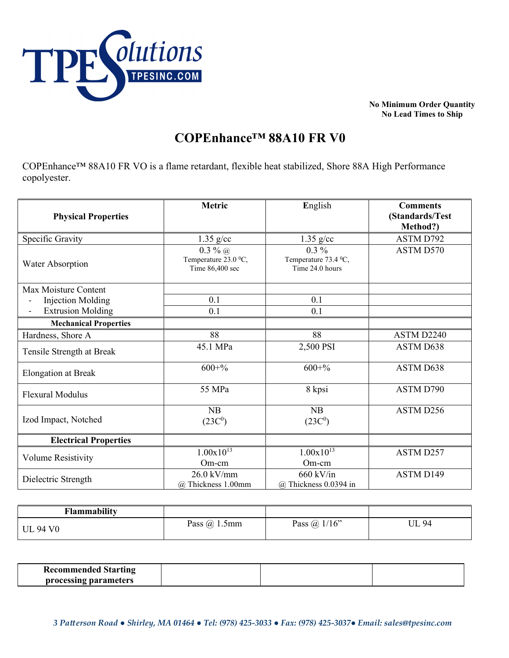

**No Minimum Order Quantity No Lead Times to Ship** 

## **COPEnhance™ 88A10 FR V0**

COPEnhance™ 88A10 FR VO is a flame retardant, flexible heat stabilized, Shore 88A High Performance copolyester.

| <b>Physical Properties</b>   | <b>Metric</b>                                        | English                                            | <b>Comments</b><br>(Standards/Test<br>Method?) |
|------------------------------|------------------------------------------------------|----------------------------------------------------|------------------------------------------------|
| Specific Gravity             | $1.35$ g/cc                                          | $1.35$ g/cc                                        | ASTM D792                                      |
| <b>Water Absorption</b>      | $0.3\%$ @<br>Temperature 23.0 °C,<br>Time 86,400 sec | $0.3\%$<br>Temperature 73.4 °C,<br>Time 24.0 hours | ASTM D570                                      |
| Max Moisture Content         |                                                      |                                                    |                                                |
| <b>Injection Molding</b>     | 0.1                                                  | 0.1                                                |                                                |
| <b>Extrusion Molding</b>     | 0.1                                                  | 0.1                                                |                                                |
| <b>Mechanical Properties</b> |                                                      |                                                    |                                                |
| Hardness, Shore A            | 88                                                   | 88                                                 | ASTM D2240                                     |
| Tensile Strength at Break    | 45.1 MPa                                             | 2,500 PSI                                          | ASTM D638                                      |
| <b>Elongation at Break</b>   | $600 + \%$                                           | $600 + %$                                          | <b>ASTM D638</b>                               |
| <b>Flexural Modulus</b>      | 55 MPa                                               | 8 kpsi                                             | ASTM D790                                      |
| Izod Impact, Notched         | NB<br>(23C <sup>0</sup> )                            | NB<br>(23C <sup>0</sup> )                          | ASTM D256                                      |
| <b>Electrical Properties</b> |                                                      |                                                    |                                                |
| Volume Resistivity           | $1.00x10^{13}$<br>Om-cm                              | $1.00x10^{13}$<br>Om-cm                            | ASTM D257                                      |
| Dielectric Strength          | $26.0$ kV/mm<br>@ Thickness 1.00mm                   | $660$ kV/in<br>@ Thickness 0.0394 in               | ASTM D149                                      |

| <b>Flammability</b> |                     |                     |       |
|---------------------|---------------------|---------------------|-------|
| <b>UL 94 V0</b>     | Pass $\omega$ 1.5mm | Pass $\omega$ 1/16" | UL 94 |

| Recommended Starting  |  |  |
|-----------------------|--|--|
| processing parameters |  |  |